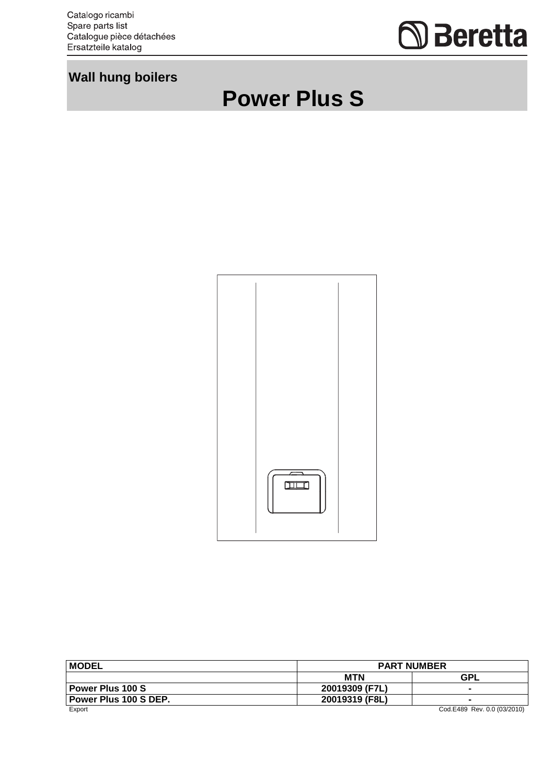Catalogo ricambi<br>Spare parts list<br>Catalogue pièce détachées Ersatzteile katalog



## **Wall hung boilers**





| <b>MODEL</b>            | <b>PART NUMBER</b> |                             |
|-------------------------|--------------------|-----------------------------|
|                         | <b>MTN</b>         | <b>GPL</b>                  |
| <b>Power Plus 100 S</b> | 20019309 (F7L)     | $\overline{\phantom{0}}$    |
| Power Plus 100 S DEP.   | 20019319 (F8L)     | $\blacksquare$              |
| Export                  |                    | Cod.E489 Rev. 0.0 (03/2010) |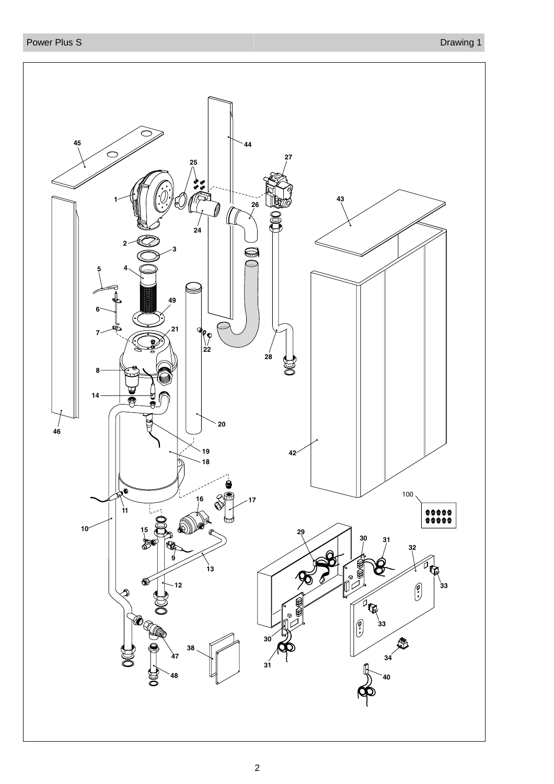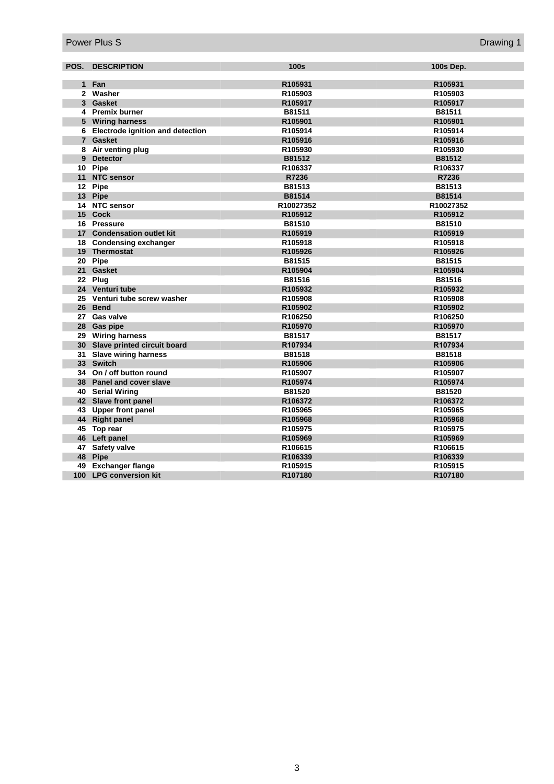|    | <b>POS. DESCRIPTION</b>            | 100s      | <b>100s Dep.</b> |
|----|------------------------------------|-----------|------------------|
|    |                                    |           |                  |
|    | 1 Fan                              | R105931   | R105931          |
|    | 2 Washer                           | R105903   | R105903          |
|    | 3 Gasket                           | R105917   | R105917          |
|    | 4 Premix burner                    | B81511    | B81511           |
|    | 5 Wiring harness                   | R105901   | R105901          |
|    | 6 Electrode ignition and detection | R105914   | R105914          |
|    | 7 Gasket                           | R105916   | R105916          |
|    | 8 Air venting plug                 | R105930   | R105930          |
|    | 9 Detector                         | B81512    | B81512           |
|    | 10 Pipe                            | R106337   | R106337          |
|    | 11 NTC sensor                      | R7236     | R7236            |
|    | 12 Pipe                            | B81513    | B81513           |
|    | 13 Pipe                            | B81514    | B81514           |
|    | 14 NTC sensor                      | R10027352 | R10027352        |
|    | 15 Cock                            | R105912   | R105912          |
|    | 16 Pressure                        | B81510    | B81510           |
|    | 17 Condensation outlet kit         | R105919   | R105919          |
|    | 18 Condensing exchanger            | R105918   | R105918          |
|    | 19 Thermostat                      | R105926   | R105926          |
|    | 20 Pipe                            | B81515    | B81515           |
|    | 21 Gasket                          | R105904   | R105904          |
|    | 22 Plug                            | B81516    | B81516           |
|    | 24 Venturi tube                    | R105932   | R105932          |
|    | 25 Venturi tube screw washer       | R105908   | R105908          |
|    | 26 Bend                            | R105902   | R105902          |
|    | 27 Gas valve                       | R106250   | R106250          |
|    | 28 Gas pipe                        | R105970   | R105970          |
|    | 29 Wiring harness                  | B81517    | B81517           |
|    | 30 Slave printed circuit board     | R107934   | R107934          |
|    | 31 Slave wiring harness            | B81518    | B81518           |
|    | 33 Switch                          | R105906   | R105906          |
|    | 34 On / off button round           | R105907   | R105907          |
|    | 38 Panel and cover slave           | R105974   | R105974          |
|    | 40 Serial Wiring                   | B81520    | B81520           |
|    | 42 Slave front panel               | R106372   | R106372          |
|    | 43 Upper front panel               | R105965   | R105965          |
|    | 44 Right panel                     | R105968   | R105968          |
|    | 45 Top rear                        | R105975   | R105975          |
|    | 46 Left panel                      | R105969   | R105969          |
|    | 47 Safety valve                    | R106615   | R106615          |
| 48 | Pipe                               | R106339   | R106339          |
| 49 | <b>Exchanger flange</b>            | R105915   | R105915          |
|    | 100 LPG conversion kit             | R107180   | R107180          |